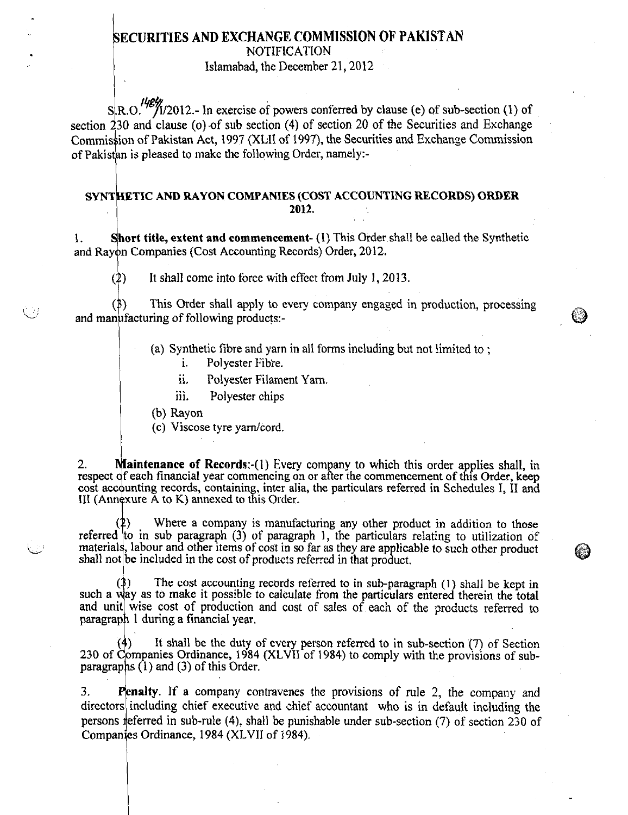## **ECURITIES AND EXCHANGE COMMISSION OF PAKISTAN**

NOTIFICATION

Islamabad, the December 21, 2012

 $S \ R. O.$ <sup>148</sup>/1/2012.- In exercise of powers conferred by clause (e) of sub-section (1) of section  $230$  and clause (o) of sub section (4) of section 20 of the Securities and Exchange Commission of Pakistan Act, 1997 (XLII of 1997), the Securities and Exchange Commission of Pakistan is pleased to make the following Order, namely:-

#### **SYNT ETIC AND RAYON COMPANIES (COST ACCOUNTING RECORDS) ORDER 2012.**

1. **Short title, extent and commencement-** (1) This Order shall be called the Synthetic and Rayon Companies (Cost Accounting Records) Order, 2012.

 $(2)$  It shall come into force with effect from July 1, 2013.

This Order shall apply to every company engaged in production, processing and manufacturing of following products:-

(a) Synthetic fibre and yarn in all forms including but not limited to ;

ì. Polyester Fibre.

ii. Polyester Filament Yarn.

iii. Polyester chips

(b) Rayon

(c) Viscose tyre yarn/cord.

**aintenance of Records:-(l)** Every company to which this order applies shall, in respect of each financial year commencing on or after the commencement of this Order, keep cost accounting records, containing, inter alia, the particulars referred in Schedules I, II and III (Annexure A to K) annexed to this Order. 2.

Where a company is manufacturing any other product in addition to those referred to in sub paragraph (3) of paragraph 1, the particulars relating to utilization of materials, labour and other items of cost in so far as they are applicable to such other product shall not be included in the cost of products referred in that product.

The cost accounting records referred to in sub-paragraph  $(1)$  shall be kept in such a way as to make it possible to calculate from the particulars entered therein the total and unit wise cost of production and cost of sales of each of the products referred to paragraph 1 during a financial year.

It shall be the duty of every person referred to in sub-section  $(7)$  of Section 230 of Companies Ordinance, 1984 (XLVII of 1984) to comply with the provisions of subparagraphs  $(1)$  and  $(3)$  of this Order.

**Penalty.** If a company contravenes the provisions of rule 2, the company and directors including chief executive and chief accountant who is in default including the persons referred in sub-rule (4), shall be punishable under sub-section (7) of section 230 of Companies Ordinance, 1984 (XLVII of 1984). 3.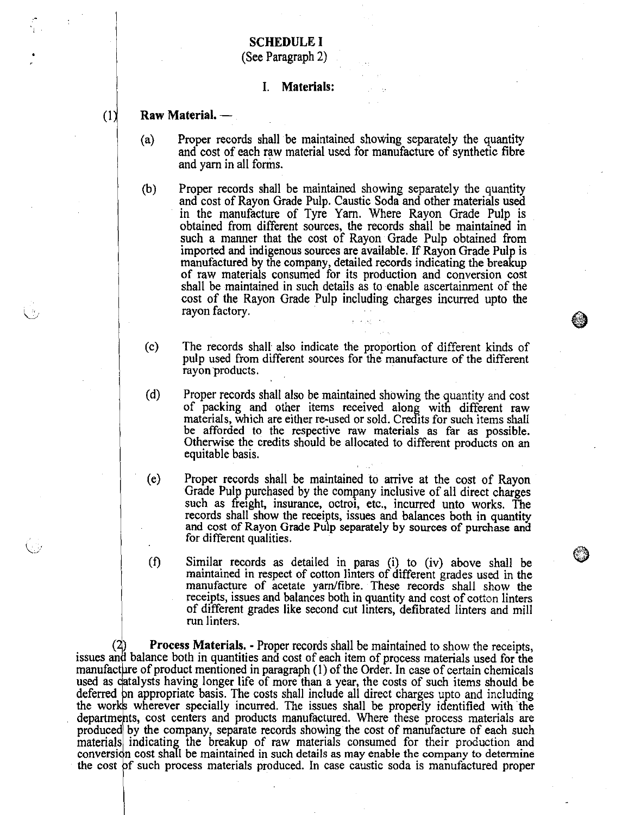## **SCHEDULE** I

(See Paragraph 2)

#### I. Materials:

### Raw Material. —

- $(a)$ Proper records shall be maintained showing separately the quantity and cost of each raw material used for manufacture of synthetic fibre and yarn in all forms.
- $(b)$ Proper records shall be maintained showing separately the quantity and cost of Rayon Grade Pulp. Caustic Soda and other materials used in the manufacture of Tyre Yarn. Where Rayon Grade Pulp is obtained from different sources, the records shall be maintained in such a manner that the cost of Rayon Grade Pulp obtained from imported and indigenous sources are available. If Rayon Grade Pulp is manufactured by the company, detailed records indicating the breakup of raw materials consumed for its production and conversion cost shall be maintained in such details as to enable ascertainment of the cost of the Rayon Grade Pulp including charges incurred upto the rayon factory.
- $(c)$ The records shall also indicate the proportion of different kinds of pulp used from different sources for the manufacture of the different rayon'products.
- $(d)$ Proper records shall also be maintained showing the quantity and cost of packing and other items received along with different raw materials, which are either re-used or sold. Credits for such items shall be afforded to the respective raw materials as far *as* possible. Otherwise the credits should be allocated to different products on an equitable basis.
- (e) Proper records shall be maintained to arrive at the cost of Rayon Grade Pulp purchased by the company inclusive of all direct charges such as freight, insurance, octroi, etc., incurred unto works. The records shall show the receipts, issues and balances both in quantity and cost of Rayon Grade Pulp separately by sources of purchase and for different qualities.
- Similar records as detailed in pans (i) to (iv) above shall be maintained in respect of cotton linters of different grades used in the manufacture of acetate yarn/fibre. These records shall show the receipts, issues and balances both in quantity and cost of cotton linters of different grades like second cut linters, defibrated linters and mill run linters.  $(f)$

Process Materials. - Proper records shall be maintained to show the receipts, issues and balance both in quantities and cost of each item of process materials used for the manufacture of product mentioned in paragraph  $(1)$  of the Order. In case of certain chemicals used as catalysts having longer life of more than a year, the costs of such items should be deferred on appropriate basis. The costs shall include all direct charges upto and including the works wherever specially incurred. The issues shall be properly identified with the departments, cost centers and products manufactured. Where these process materials are produced by the company, separate records showing the cost of manufacture of each such materials indicating the breakup of raw materials consumed for their production and conversion cost shall be maintained in such details as may enable the company to determine the cost of such process materials produced. In case caustic soda is manufactured proper

 $(1)$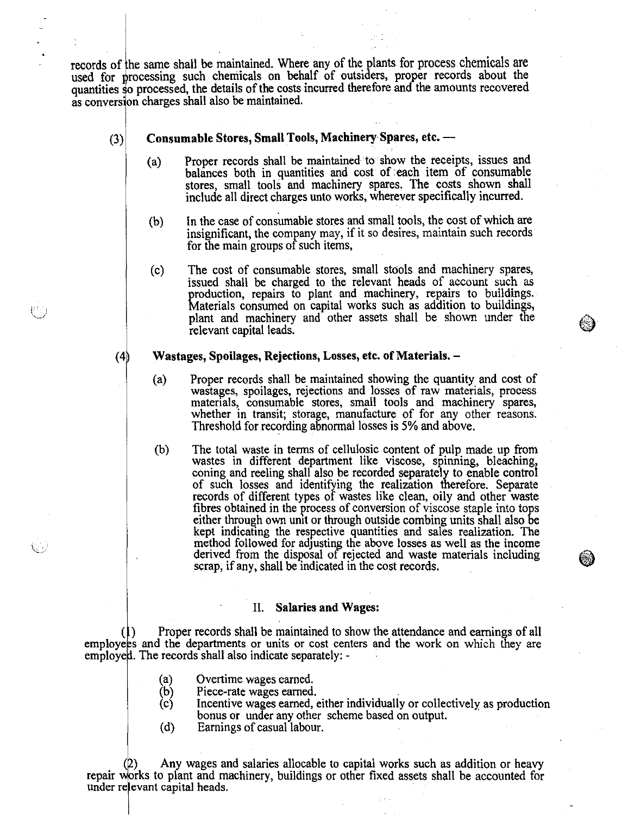records of he same shall be maintained. Where any of the plants for process chemicals are used for processing such chemicals on behalf of outsiders, proper records about the quantities so processed, the details of the costs incurred therefore and the amounts recovered as conversion charges shall also be maintained.

#### Consumable Stores, Small Tools, Machinery Spares, etc. — (3)

- Proper records shall be maintained to show the receipts, issues and  $(a)$ balances both in quantities and cost of each item of consumable stores, small tools and machinery spares. The costs shown shall include all direct charges unto works, wherever specifically incurred.
- In the case of consumable stores and small tools, the cost of which are  $(b)$ insignificant, the company may, if it so desires, maintain such records for the main groups of such items,
- (c) The cost of consumable stores, small stools and machinery spares, issued shall be charged to the relevant heads of account such as production, repairs to plant and machinery, repairs to buildings. Materials consumed on capital works such as addition to buildings, plant and machinery and other assets shall be shown under the relevant capital leads.

#### $(4)$ Wastages, Spoilages, Rejections, Losses, etc. of Materials. –

- $(a)$ Proper records shall be maintained showing the quantity and cost of wastages, spoilages, rejections and losses of raw materials, process materials, consumable stores, small tools and machinery spares, whether in transit; storage, manufacture of for any other reasons. Threshold for recording abnormal losses is 5% and above.
- (b) The total waste in terms of cellulosic content of pulp made up from wastes in different department like viscose, spinning, bleaching, coning and reeling shall also be recorded separately to enable control of such losses and identifying the realization therefore. Separate records of different types of wastes like clean, oily and other waste fibres obtained in the process of conversion of viscose staple into tops either through own unit or through outside combing units shall also be kept indicating the respective quantities and sales realization. The method followed for adjusting the above losses as well as the income derived from the disposal of rejected and waste materials including scrap, if any, shall be indicated in the cost records.

#### II. Salaries and Wages:

Proper records shall be maintained to show the attendance and earnings of all employees and the departments or units or cost centers and the work on which they are employed. The records shall also indicate separately: -

- Overtime wages earned.  $(a)$
- $(b)$ Piece-rate wages earned.
- $\left( c \right)$ Incentive wages earned, either individually or collectively as production bonus or under any other scheme based on output.
- $(d)$ Earnings of casual labour.

Any wages and salaries allocable to capital works such as addition or heavy repair works to plant and machinery, buildings or other fixed assets shall be accounted for under relevant capital heads.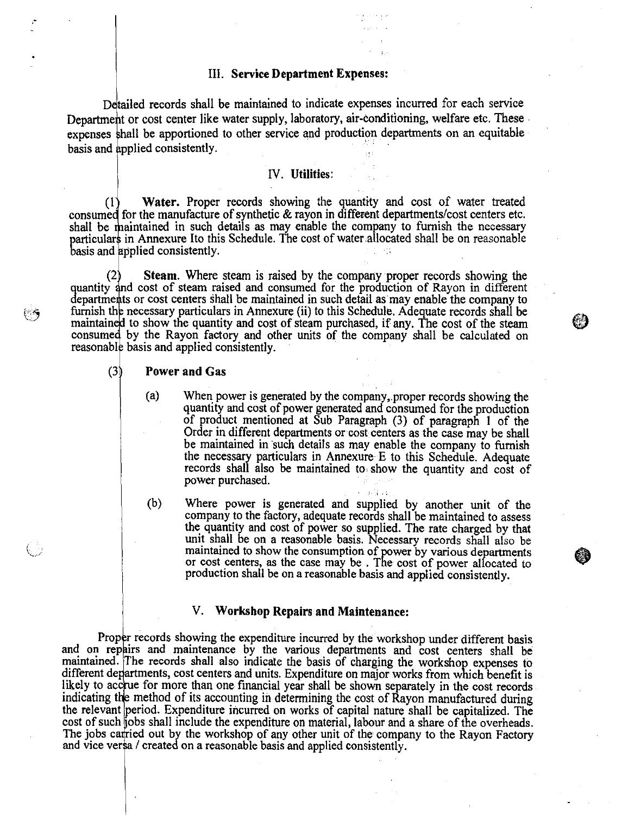#### III. **Service** Department Expenses:

Detailed records shall be maintained to indicate expenses incurred for each service Department or cost center like water supply, laboratory, air-conditioning, welfare etc. These expenses shall be apportioned to other service and production departments on an equitable basis and applied consistently.

### IV. Utilities:

Water. Proper records showing the quantity and cost of water treated  $(1)$ consumed for the manufacture of synthetic & rayon in different departments/cost centers etc. shall be maintained in such details as may enable the company to furnish the necessary particulars in Annexure Ito this Schedule. The cost of water allocated shall be on reasonable basis and applied consistently.

Steam. Where steam is raised by the company proper records showing the quantity and cost of steam raised and consumed for the production of Rayon in different departments or cost centers shall be maintained in such detail as may enable the company to furnish the necessary particulars in Annexure (ii) to this Schedule. Adequate records shall be maintained to show the quantity and cost of steam purchased, if any. The cost of the steam consumed by the Rayon factory and other units of the company shall be calculated on reasonable basis and applied consistently. (2

#### Power and Gas (3

er Kij

- When power is generated by the company, proper records showing the  $(a)$ quantity and cost of power generated and consumed for the production of product mentioned at Sub Paragraph (3) of paragraph I of the Order in different departments or cost centers as the case may be shall be maintained in such details as may enable the company to furnish the necessary particulars in Annexure E to this Schedule. Adequate records shall also be maintained to show the quantity and cost of power purchased.
- $(b)$ Where power is generated and supplied by another unit of the company to the factory, adequate records shall be maintained to assess the quantity and cost of power so supplied. The rate charged by that unit shall be on a reasonable basis. Necessary records shall also be maintained to show the consumption of power by various departments or cost centers, as the case may be . The cost of power allocated to production shall be on a reasonable basis and applied consistently.

#### V. Workshop Repairs and Maintenance:

Proper records showing the expenditure incurred by the workshop under different basis and on repairs and maintenance by the various departments and cost centers shall be maintained. The records shall also indicate the basis of charging the workshop expenses to different departments, cost centers and units. Expenditure on major works from which benefit is likely to accrue for more than one financial year shall be shown separately in the cost records indicating the method of its accounting in determining the cost of Rayon manufactured during the relevant period. Expenditure incurred on works of capital nature shall be capitalized. The cost of such jobs shall include the expenditure on material, labour and a share of the overheads. The jobs carried out by the workshop of any other unit of the company to the Rayon Factory and vice ver\$a / created on a reasonable basis and applied consistently

卿》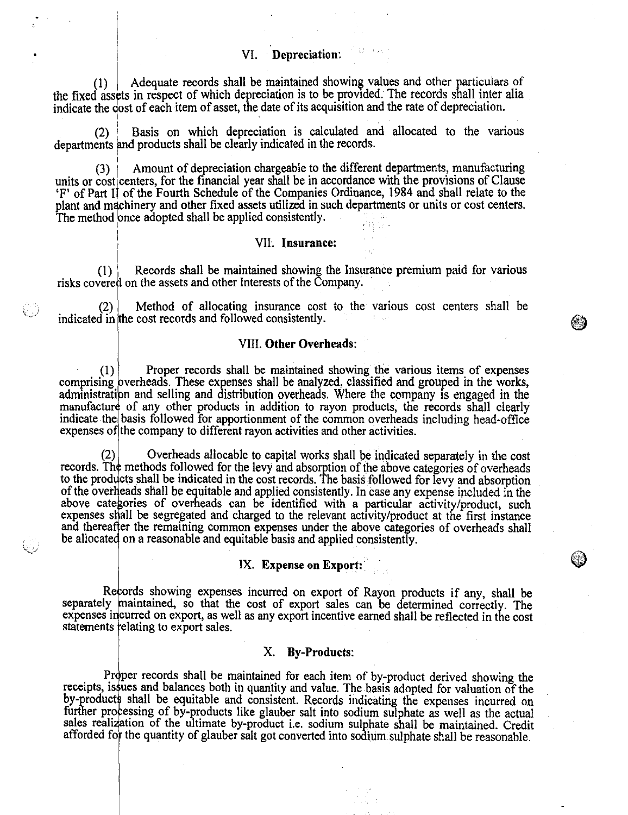Adequate records shall be maintained showing values and other particulars of  $(1)$ the fixed assets in respect of which depreciation is to be provided. The records shall inter alia indicate the cost of each item of asset, the date of its acquisition and the rate of depreciation.

Basis on which depreciation is calculated and allocated to the various  $(2)$ departments and products shall be clearly indicated in the records.

(3) Amount of depreciation chargeable to the different departments, manufacturing units or cost centers, for the financial year shall be in accordance with the provisions of Clause `F' of Part II of the Fourth Schedule of the Companies Ordinance, 1984 and shall relate to the plant and machinery and other fixed assets utilized in such departments or units or cost centers. The method once adopted shall be applied consistently.

#### VII. Insurance:

 $(1)$  Records shall be maintained showing the Insurance premium paid for various risks covered on the assets and other Interests of the Company.

(2) indicated in he cost records and followed consistently. Method of allocating insurance cost to the various cost centers shall be

#### VIII. Other Overheads:

⊛)

Proper records shall be maintained showing the various items of expenses  $(1)$ comprising overheads. These expenses shall be analyzed, classified and grouped in the works administration and selling and distribution overheads. Where the company is engaged in the manufacture of any other products in addition to rayon products, the records shall clearly indicate the basis followed for apportionment of the common overheads including head-office expenses of the company to different rayon activities and other activities.

records. Th to the prod of the overheads shall be equitable and applied consistently. In case any expense included in the above categories of overheads can be identified with a particular activity/product, such expenses shall be segregated and charged to the relevant activity/product at the first instance and thereafter the remaining common expenses under the above categories of overheads shall be allocated on a reasonable and equitable basis and applied consistently. Overheads allocable to capital works shall be indicated separately in the cost methods followed for the levy and absorption of the above categories of overheads cts shall be indicated in the cost records. The basis followed for levy and absorption

#### IX. Expense on Export:

Records showing expenses incurred on export of Rayon products if any, shall be separately maintained, so that the cost of export sales can be determined correctly. The expenses incurred on export, as well as any export incentive earned shall be reflected in the cost statements relating to export sales.

#### X. By-Products:

Proper records shall be maintained for each item of by-product derived showing the receipts, issues and balances both in quantity and value. The basis adopted for valuation of the by-products shall be equitable and consistent. Records indicating the expenses incurred on further processing of by-products like glauber salt into sodium sulphate as well as the actual sales realization of the ultimate by-product i.e. sodium sulphate shall be maintained. Credit afforded for the quantity of glauber salt got converted into sodium sulphate shall be reasonable.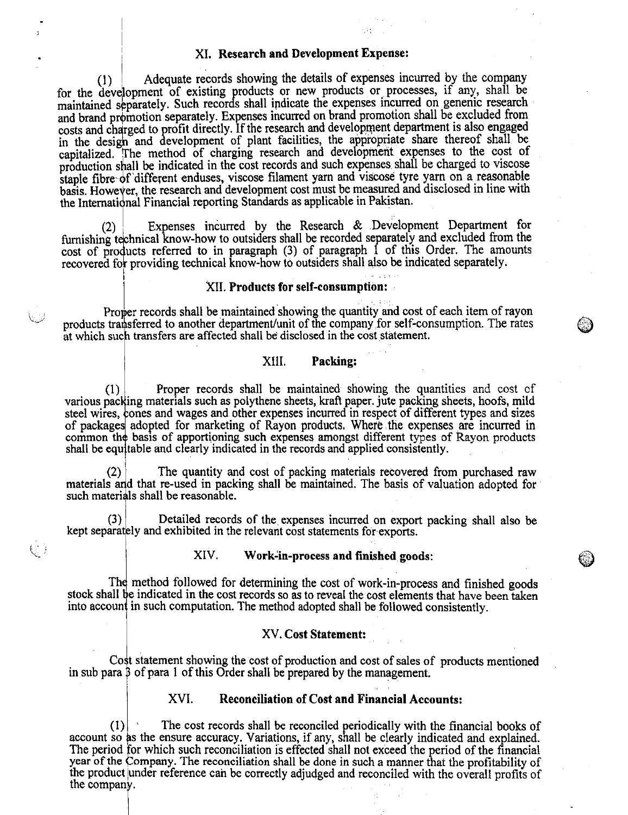#### XI. Research and Development Expense:

Adequate records showing the details of expenses incurred by the company for the development of existing products or new products or processes, if any, shall be maintained separately. Such records shall indicate the expenses incurred on genenic research and brand promotion separately. Expenses incurred on brand promotion shall be excluded from costs and charged to profit directly. If the research and development department is also engaged in the design and development of plant facilities, the appropriate share thereof shall be capitalized. The method of charging research and development expenses to the cost of production shall be indicated in the cost records and such expenses shall be charged to viscose staple fibre of 'different enduses, viscose filament yarn and viscose tyre yarn on a reasonable basis. However, the research and development cost must be measured and disclosed in line with the International Financial reporting Standards as applicable in Pakistan.

Expenses incurred by the Research & Development Department for  $(2)$ furnishing technical know-how to outsiders shall be recorded separately and excluded from the cost of products referred to in paragraph (3) of paragraph 1 of this Order. The amounts recovered for providing technical know-how to outsiders shall also be indicated separately.

#### XII. Products for self-consumption:

Proper records shall be maintained showing the quantity and cost of each item of rayon products transferred to another department/unit of the company for self-consumption. The rates at which such transfers are affected shall be disclosed in the cost statement.

#### XIII. Packing:

(1) various packing materials such as polythene sheets, kraft paper. jute packing sheets, hoofs, mild steel wires, ones and wages and other expenses incurred in respect of different types and sizes of package adopted for marketing of Rayon products. Where the expenses are incurred in common th basis of apportioning such expenses amongst different types of Rayon products shall be equ table and clearly indicated in the records and applied consistently. Proper records shall be maintained showing the quantities and cost of

The quantity and cost of packing materials recovered from purchased raw materials and that re-used in packing shall be maintained. The basis of valuation adopted for such materials shall be reasonable.

kept separat ly and exhibited in the relevant cost statements for exports. Detailed records of the expenses incurred on export packing shall also be

#### XIV. Work-in-process and finished goods:

The method followed for determining the cost of work-in-process and finished goods stock shall be indicated in the cost records so as to reveal the cost elements that have been taken into account in such computation. The method adopted shall be followed consistently.

#### XV. Cost Statement:

Co t statement showing the cost of production and cost of sales of products mentioned in sub para  $\beta$  of para 1 of this Order shall be prepared by the management.

#### XVI. Reconciliation of Cost and Financial Accounts:

 $(1)$  The cost records shall be reconciled periodically with the financial books of account so as the ensure accuracy. Variations, if any, shall be clearly indicated and explained. The period for which such reconciliation is effected shall not exceed the period of the financial year of the Company. The reconciliation shall be done in such a manner that the profitability of the product under reference can be correctly adjudged and reconciled with the overall profits of the company.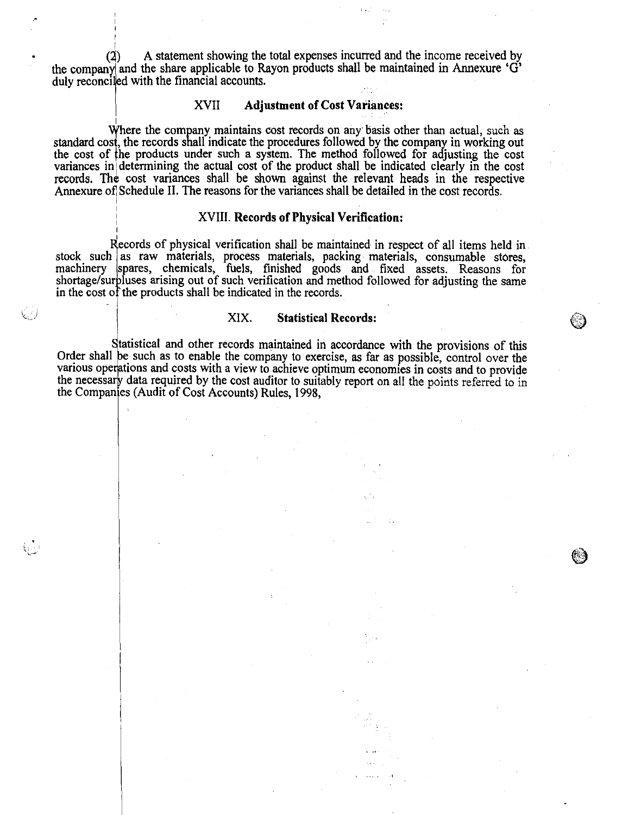• (2) A statement showing the total expenses incurred and the income received by the company and the share applicable to Rayon products shall be maintained in Annexure 'G' duly reconciled with the financial accounts.

### XVII Adjustment of Cost Variances:

Where the company maintains cost records on any basis other than actual, such as standard cost, the records shall indicate the procedures followed by the company in working out the cost of the products under such a system. The method followed for adjusting the cost variances in determining the actual cost of the product shall be indicated clearly in the cost records. The cost variances shall be shown against the relevant heads in the respective Annexure of Schedule II. The reasons for the variances shall be detailed in the cost records.

#### XVIII. Records of Physical Verification:

Records of physical verification shall be maintained in respect of all items held in stock such as raw materials, process materials, packing materials, consumable stores machinery spares, chemicals, fuels, finished goods and fixed assets. Reasons for shortage/surpluses arising out of such verification and method followed for adjusting the same in the cost of the products shall be indicated in the records.

#### XIX. Statistical Records:

83

Statistical and other records maintained in accordance with the provisions of this Order shall be such as to enable the company to exercise, as far as possible, control over the various operations and costs with a view to achieve optimum economies in costs and to provide the necessary data required by the cost auditor to suitably report on all the points referred to in the Companies (Audit of Cost Accounts) Rules, 1998,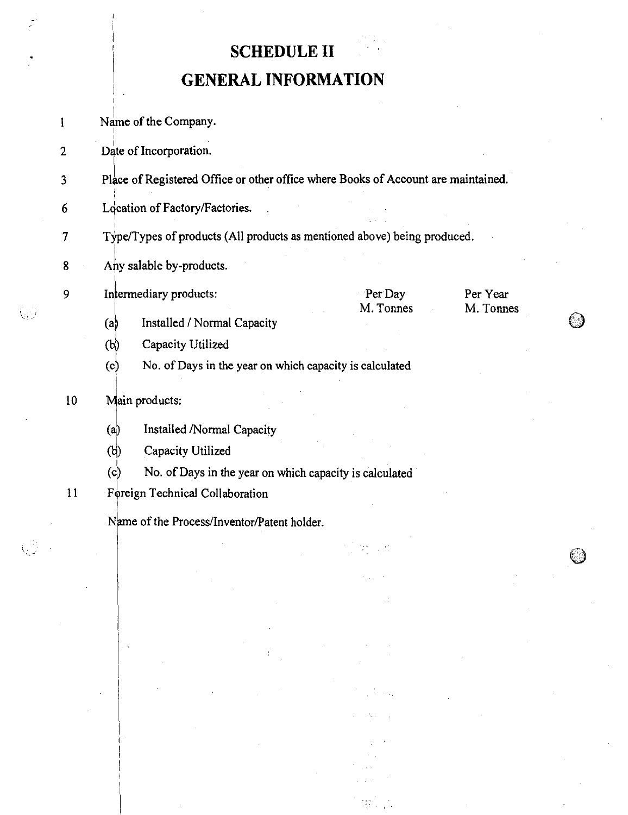# SCHEDULE II

# GENERAL INFORMATION

Name of the Company.  $\mathbf{I}$ 

2 Date of Incorporation.

- 3 Place of Registered Office or other office where Books of Account are maintained.
- $6$  Location of Factory/Factories.
- 7 Type/Types of products (All products as mentioned above) being produced.
- 8 Any salable by-products.

9 Intermediary products: Per Day Per Pear

- M. Tonnes M. Tonnes
- (a) Installed / Normal Capacity
- $(b)$  Capacity Utilized
- No. of Days in the year on which capacity is calculated  $(c)$

# 10 Main products:

 $\setminus$ 

- $(a)$ Installed /Normal Capacity
- $(b)$ Capacity Utilized
- $(c)$  No. of Days in the year on which capacity is calculated

 $11$ Foreign Technical Collaboration

Name of the Process/Inventor/Patent holder.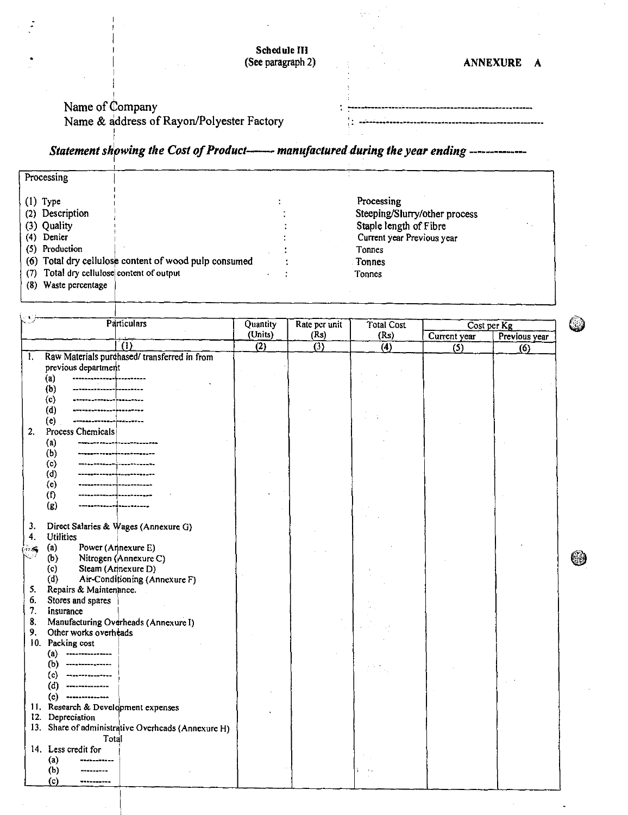|                   | Schedule III |  |  |
|-------------------|--------------|--|--|
| (See paragraph 2) |              |  |  |

# (See paragraph 2) **ANNEXURE A**

( )

69

## Name of Company Name & address of Rayon/Polyester Factory

|  | <b>我想是她也在感情我想想想说不得过这样想到她的我在我的里面也能够的在我和学习的她的生活的学校让他要做过的学校的学</b> |
|--|----------------------------------------------------------------|
|  |                                                                |

# *Statement shpwing the Cost of Product— manufactured during the year ending ----------*

| Processing                                                                                                                                                                                                       |                                                                                                                                          |  |
|------------------------------------------------------------------------------------------------------------------------------------------------------------------------------------------------------------------|------------------------------------------------------------------------------------------------------------------------------------------|--|
| $(1)$ Type<br>(2) Description<br>(3) Quality<br>(4) Denier<br>(5) Production<br>(6) Total dry cellulose content of wood pulp consumed<br>Total dry cellulose content of output<br>(7)<br>Waste percentage<br>(8) | Processing<br>Steeping/Slurry/other process<br>Staple length of Fibre<br>Current year Previous year<br>Tonnes<br><b>Tonnes</b><br>Tonnes |  |

|                | <b>Particulars</b>                                                                                     | Quantity         | Rate per unit    | <b>Total Cost</b> | Cost per Kg  |               |
|----------------|--------------------------------------------------------------------------------------------------------|------------------|------------------|-------------------|--------------|---------------|
|                |                                                                                                        | (Units)          | (Rs)             | (Rs)              | Current year | Previous year |
|                | កា                                                                                                     | $\overline{(2)}$ | $\overline{(3)}$ | $\overline{(4)}$  | (5)          | (6)           |
| $\mathbf{1}$   | Raw Materials purchased/ transferred in from<br>previous department                                    |                  |                  |                   |              |               |
|                | (a)<br>------------- <mark>------------</mark><br>--------------------------<br>(b)<br><mark></mark> . |                  |                  |                   |              |               |
|                | (c)<br>(d)<br>---------- <mark>--------</mark> -<br>(e)<br>---------------                             |                  |                  |                   |              |               |
| 2.             | Process Chemicals<br>------------------------<br>(a)                                                   |                  |                  |                   |              |               |
|                | (b)<br>--------------------<br>(c)                                                                     |                  |                  |                   |              |               |
|                | ------ <del> </del> -------<br>(d)<br>(c)                                                              |                  |                  |                   |              |               |
|                | (f)<br>(g)                                                                                             |                  |                  |                   |              |               |
| 3.<br>4.       | Direct Salaries & Wages (Annexure G)<br><b>Utilities</b>                                               |                  |                  |                   |              |               |
| <b>Dream</b>   | Power (Annexure E)<br>(a)<br>Nitrogen (Annexure C)<br>(b)                                              |                  |                  |                   |              |               |
|                | Steam (Annexure D)<br>(c)<br>Air-Conditioning (Annexure F)<br>(d)                                      |                  |                  |                   |              |               |
| 5.<br>6.<br>7. | Repairs & Maintenance.<br>Stores and spares                                                            |                  |                  |                   |              |               |
| 8.<br>9.       | Insurance<br>Manufacturing Overheads (Annexure I)<br>Other works overheads                             |                  |                  |                   |              |               |
|                | 10. Packing cost<br>(a)<br>--------------                                                              |                  |                  |                   |              |               |
|                | ----- <del>----------</del><br>(b)<br>(c)<br>---------------                                           |                  |                  |                   |              |               |
|                | (d)<br>-------------<br>(e)<br>--------------                                                          |                  |                  |                   |              |               |
|                | 11. Research & Development expenses<br>12. Depreciation                                                |                  |                  |                   |              |               |
|                | 13. Share of administrative Overheads (Annexure H)<br>Total<br>14. Less credit for                     |                  |                  |                   |              |               |
|                | (a)<br>(b)                                                                                             |                  |                  |                   |              |               |
|                | (c)                                                                                                    |                  |                  |                   |              |               |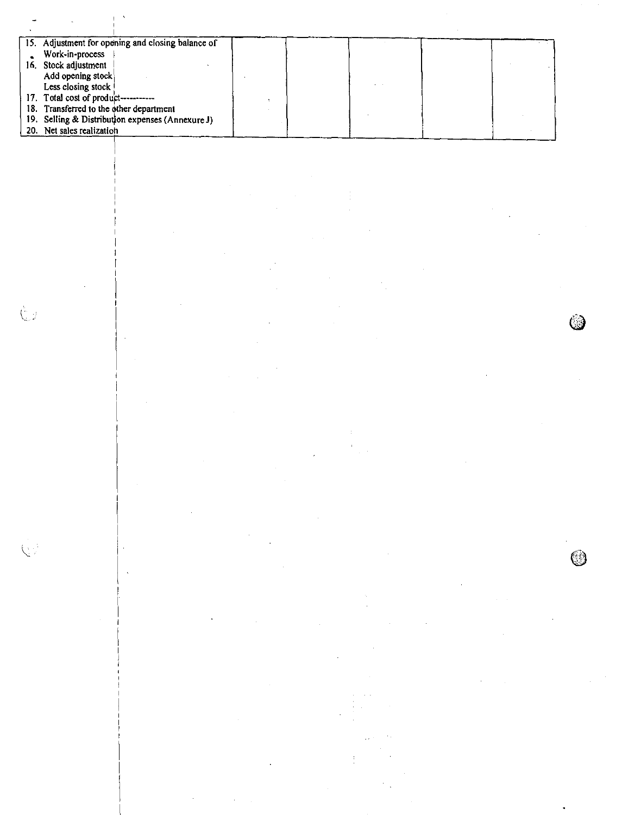|     | 15. Adjustment for opening and closing balance of |  |  |  |
|-----|---------------------------------------------------|--|--|--|
|     | Work-in-process                                   |  |  |  |
| 16. | Stock adjustment                                  |  |  |  |
|     | Add opening stock                                 |  |  |  |
|     | Less closing stock !                              |  |  |  |
|     | 17. Total cost of product-----------              |  |  |  |
|     | 18. Transferred to the other department           |  |  |  |
|     | 19. Selling & Distribution expenses (Annexure J)  |  |  |  |
|     | 20. Net sales realization                         |  |  |  |

 $\dot{\mathbb{Q}}$ 

◎

 $\int_{\frac{\pi}{2}}^{\frac{\pi}{2}} \omega$ 

 $\hat{\boldsymbol{\beta}}$ 

 $\bar{\beta}$ 

ŀ,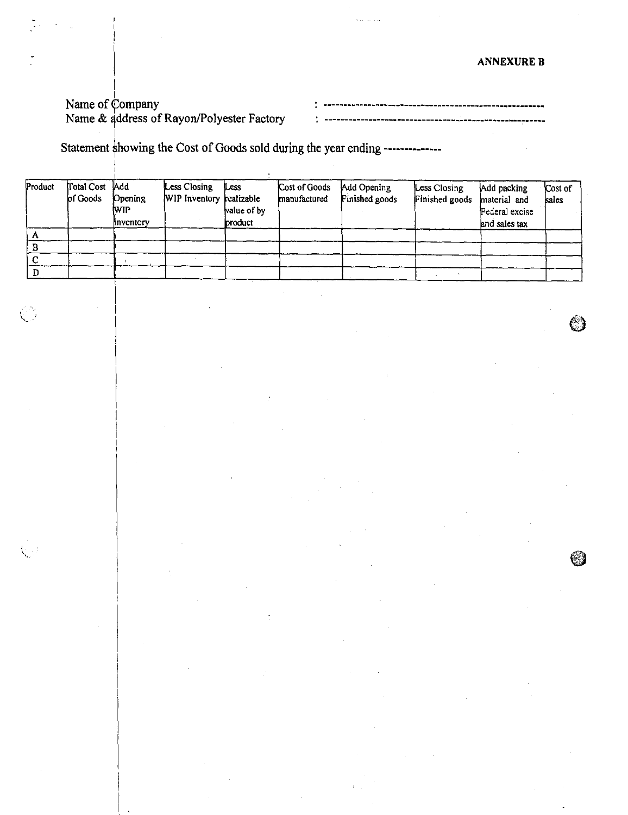# Name of Company Name & gddress of Rayon/Polyester Factory

Statement showing the Cost of Goods sold during the year ending --------------

| Product | Total Cost Add<br>of Goods | Opening<br><b>NVIP</b><br>inventory | <b>Less Closing</b><br>WIP Inventory realizable | Less<br>value of by<br><b>product</b> | Cost of Goods<br>manufactured | Add Opening<br>Finished goods | Less Closing<br>Finished goods | Add packing<br>material and<br>Federal excise<br>and sales tax | Cost of<br>sales |
|---------|----------------------------|-------------------------------------|-------------------------------------------------|---------------------------------------|-------------------------------|-------------------------------|--------------------------------|----------------------------------------------------------------|------------------|
|         |                            |                                     |                                                 |                                       |                               |                               |                                |                                                                |                  |
|         |                            |                                     |                                                 |                                       |                               |                               |                                |                                                                |                  |
|         |                            |                                     |                                                 |                                       |                               |                               |                                |                                                                |                  |
|         |                            |                                     |                                                 |                                       |                               |                               |                                |                                                                |                  |

 $\circledcirc$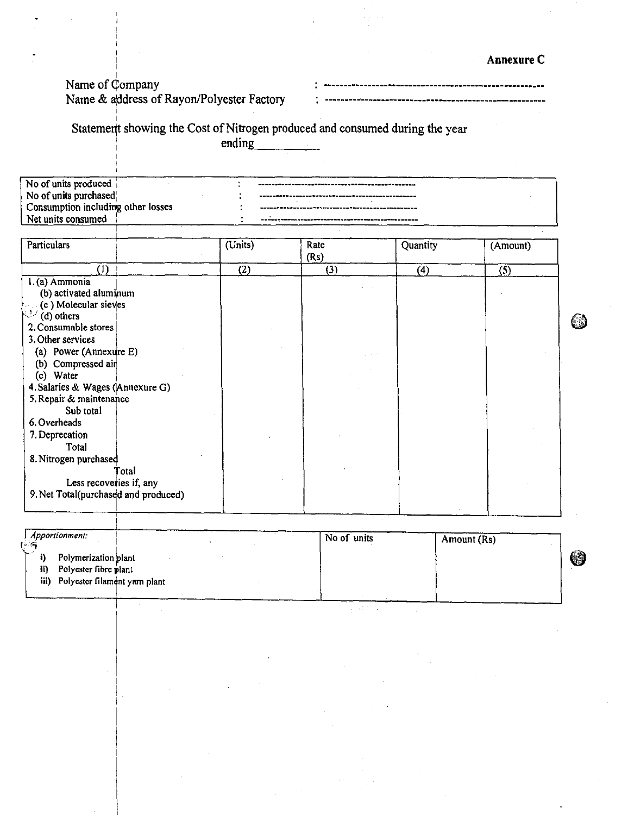Annexure C

# Name of Company

Name & address of Rayon/Polyester Factory

--------------------

Statement showing the Cost of Nitrogen produced and consumed during the year

ending

| No of units produced,              |  |
|------------------------------------|--|
| No of units purchased              |  |
| Consumption including other losses |  |
| Net units consumed                 |  |
|                                    |  |

| Particulars                          | $\overline{\text{(Units)}}$ | Rate<br>(Rs) | Quantity | (Amount) |
|--------------------------------------|-----------------------------|--------------|----------|----------|
| (1)                                  | (2)                         | (3)          | (4)      | (5)      |
| I.(a) Ammonia                        |                             |              |          |          |
| (b) activated aluminum               |                             |              |          |          |
| (c) Molecular sieves                 |                             |              |          |          |
| $\mathbb{N}^{\mathbb{N}}$ (d) others |                             |              |          |          |
| 2. Consumable stores                 |                             |              |          |          |
| 3. Other services                    |                             |              |          |          |
| (a) Power (Annexure E)               |                             |              |          |          |
| (b) Compressed air                   |                             |              |          |          |
| (c) Water                            |                             |              |          |          |
| 4. Salaries & Wages (Annexure G)     |                             |              |          |          |
| 5. Repair & maintenance              |                             |              |          |          |
| Sub total                            |                             |              |          |          |
| 6. Overheads                         |                             |              |          |          |
| 7. Deprecation                       |                             |              |          |          |
| Total                                |                             |              |          |          |
| 8. Nitrogen purchased                |                             |              |          |          |
| Total                                |                             |              |          |          |
| Less recoveries if, any              |                             |              |          |          |
| 9. Net Total(purchased and produced) |                             |              |          |          |
|                                      |                             |              |          |          |
|                                      |                             |              |          |          |

| <i>Apportionment:</i>                                | No of units | Amount (Rs) |   |
|------------------------------------------------------|-------------|-------------|---|
| Polymerization plant<br>Polyester fibre plant<br>ii) |             |             | 4 |
| iii) Polyester filament yarn plant                   |             |             |   |

 $\sim$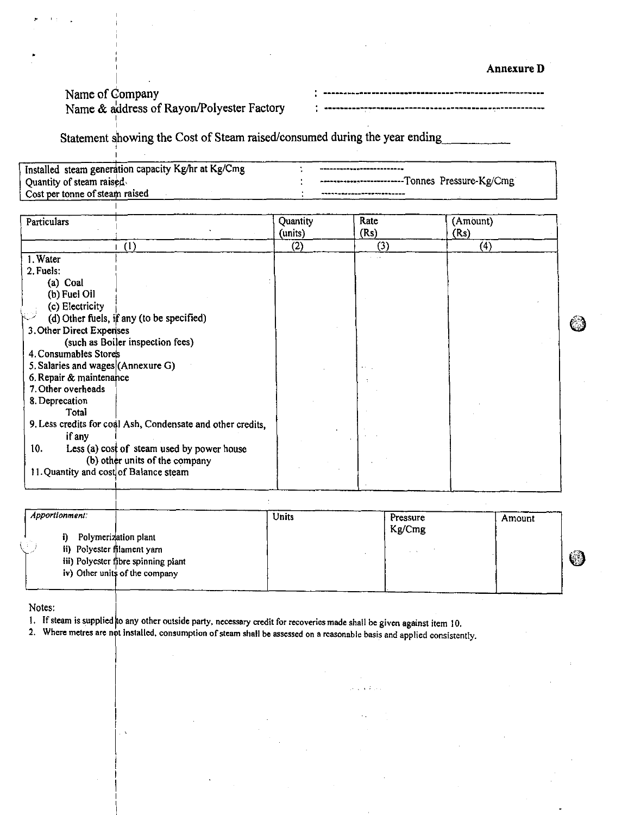#### **Annexure D**

# Name of Company

l i

#### Name & address of Rayon/Polyester Factory

\_\_\_\_\_\_\_\_\_\_\_\_\_\_\_\_\_\_\_\_\_\_\_\_\_

Statement sihowing the Cost of Steam raised/consumed during the year ending 

| Installed steam generation capacity Kg/hr at Kg/Cmg | ~~~~~~~~~~ <sub>~~~</sub> ~~~~~~~~~~~~          |
|-----------------------------------------------------|-------------------------------------------------|
| Quantity of steam raised                            | -------------------------Tonnes Pressure-Kg/Cmg |
| Cost per tonne of steam raised                      | **********************************              |

| Particulars                                                 | Quantity<br>(units) | Rate<br>(Rs) | (Amount)<br>(Rs) |  |
|-------------------------------------------------------------|---------------------|--------------|------------------|--|
| (1)                                                         | (2)                 | (3)          | (4)              |  |
| 1. Water                                                    |                     |              |                  |  |
| 2. Fuels:                                                   |                     |              |                  |  |
| (a) Coal                                                    |                     |              |                  |  |
| (b) Fuel Oil                                                |                     |              |                  |  |
| (c) Electricity                                             |                     |              |                  |  |
| (d) Other fuels, if any (to be specified)                   |                     |              |                  |  |
| 3. Other Direct Expenses                                    |                     |              |                  |  |
| (such as Boiler inspection fees)                            |                     |              |                  |  |
| 4. Consumables Stores                                       |                     |              |                  |  |
| 5. Salaries and wages (Annexure G)                          |                     |              |                  |  |
| 6. Repair & maintenance                                     |                     |              |                  |  |
| 7. Other overheads                                          |                     |              |                  |  |
| 8. Deprecation                                              |                     |              |                  |  |
| Total                                                       |                     |              |                  |  |
| 9. Less credits for coal Ash, Condensate and other credits, |                     |              |                  |  |
| if any                                                      |                     |              |                  |  |
| 10.<br>Less (a) cost of steam used by power house           |                     |              |                  |  |
| (b) other units of the company                              |                     |              |                  |  |
| 11. Quantity and cost of Balance steam                      |                     |              |                  |  |
|                                                             |                     |              |                  |  |

| Apportionment:                   |                                                                       | Units | Pressure<br>Kg/Cmg | Amount |            |
|----------------------------------|-----------------------------------------------------------------------|-------|--------------------|--------|------------|
| Ð<br>ii) Polyester filament yarn | Polymerization plant                                                  |       | $\sim$ $\sim$      |        |            |
|                                  | iii) Polyester fibre spinning plant<br>iv) Other units of the company |       |                    |        | $\bigcirc$ |
|                                  |                                                                       |       |                    |        |            |

Notes:

1. If steam is supplied to any other outside party, necessary credit for recoveries made shall be given against item 10.

2. Where metres are not installed, consumption of steam shall be assessed on a reasonable basis and applied consistently.

 $\ddot{\phantom{a}}$ 

ి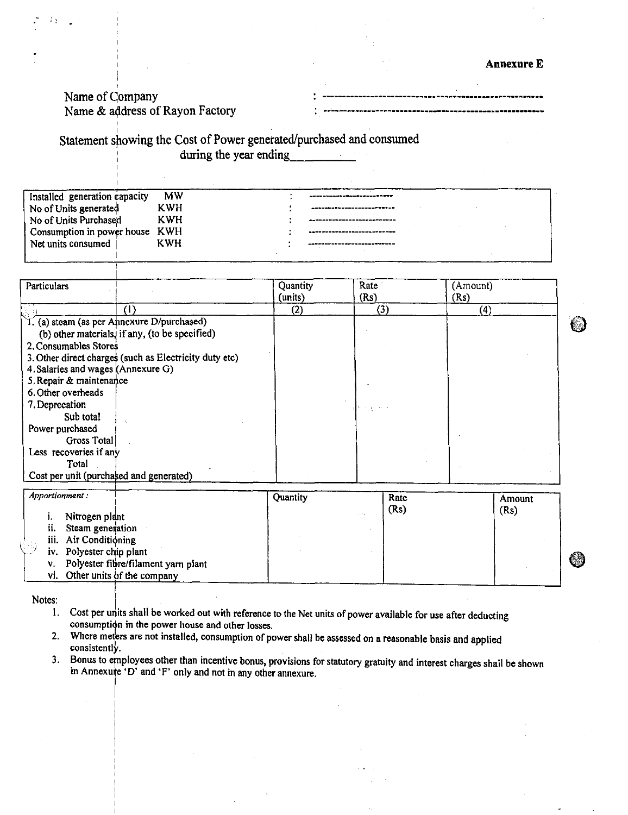-----------------------

# Name of Company

Name & address of Rayon Factory

Statement showing the Cost of Power generated/purchased and consumed during the year ending

| Installed generation capacity  | <b>MW</b>  | ------------------------                                                                         |
|--------------------------------|------------|--------------------------------------------------------------------------------------------------|
| No of Units generated          | KWH        | ___________________________                                                                      |
| No of Units Purchased          | <b>KWH</b> | when we are this production and we do you and was an ancient consumption of the statute and then |
| Consumption in power house KWH |            |                                                                                                  |
| Net units consumed             | <b>KWH</b> | ------------------------                                                                         |
|                                |            |                                                                                                  |

| Net units consumed                         | KWH                                                    |                     |              |                  |  |
|--------------------------------------------|--------------------------------------------------------|---------------------|--------------|------------------|--|
|                                            |                                                        |                     |              |                  |  |
| Particulars                                |                                                        | Quantity<br>(units) | Rate<br>(Rs) | (Amount)<br>(Rs) |  |
|                                            |                                                        | (2)                 | (3)          | (4)              |  |
| T. (a) steam (as per Annexure D/purchased) |                                                        |                     |              |                  |  |
|                                            | (b) other materials, if any, (to be specified)         |                     |              |                  |  |
| 2. Consumables Stores                      |                                                        |                     |              |                  |  |
|                                            | 3. Other direct charges (such as Electricity duty etc) |                     |              |                  |  |
| 4. Salaries and wages (Annexure G)         |                                                        |                     |              |                  |  |
| 5. Repair & maintenance                    |                                                        |                     |              |                  |  |
| 6. Other overheads                         |                                                        |                     |              |                  |  |
| 7. Deprecation                             |                                                        |                     |              |                  |  |
| Sub total                                  |                                                        |                     |              |                  |  |
| Power purchased                            |                                                        |                     |              |                  |  |
| Gross Total                                |                                                        |                     |              |                  |  |
| Less recoveries if any                     |                                                        |                     |              |                  |  |
| Total                                      |                                                        |                     |              |                  |  |
| Cost per unit (purchased and generated)    |                                                        |                     |              |                  |  |

|     | Apportionment:                         | Quantity | Rate<br>(Rs) | Amount<br>(Rs) |   |
|-----|----------------------------------------|----------|--------------|----------------|---|
|     | Nitrogen plant                         |          |              |                |   |
| ij. | Steam generation                       |          |              |                |   |
|     | iii. Air Conditioning                  |          |              |                |   |
|     | iv. Polyester chip plant               |          |              |                |   |
|     | v. Polyester fibre/filament yarn plant |          |              |                | ◈ |
|     | vi. Other units of the company         |          |              |                |   |

Notes:

- Cost per units shall be worked out with reference to the Net units of power available for use after deducting  $1.$ consumption in the power house and other losses.
- Where meters are not installed, consumption of power shall be assessed on a reasonable basis and applied consistently.
- 3. Bonus to employees other than incentive bonus, provisions for statutory gratuity and interest charges shall be shown in Annexure 'D' and 'F' only and not in any other annexure.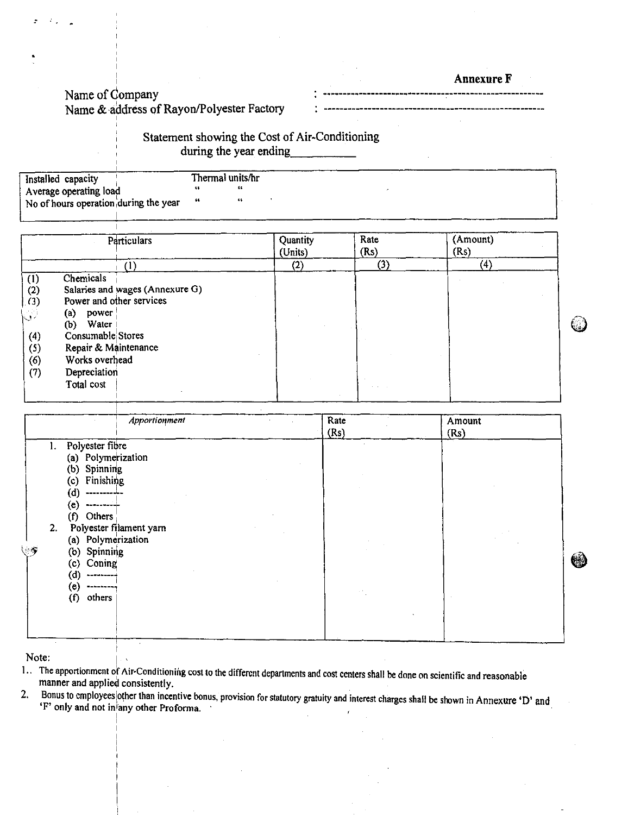Annexure F

(၂)

# Name of Company Name & address of Rayon/Polyester Factory

# Statement showing the Cost of Air-Conditioning during the year ending

| Installed capacity                     | Thermal units/hr |  |  |
|----------------------------------------|------------------|--|--|
| Average operating load                 |                  |  |  |
| No of hours operation, during the year |                  |  |  |
|                                        |                  |  |  |

|     | <b>Particulars</b>              | Quantity<br>(Units) | Rate<br>(Rs)     | (Amount)<br>(Rs) |
|-----|---------------------------------|---------------------|------------------|------------------|
|     | U.                              | (2)                 | $\left(3\right)$ | $\left(4\right)$ |
| (1) | <b>Chemicals</b>                |                     |                  |                  |
| (2) | Salaries and wages (Annexure G) |                     |                  |                  |
| (3) | Power and other services        |                     |                  |                  |
| J)  | power<br>(a)                    |                     |                  |                  |
|     | Water<br>(b)                    |                     |                  |                  |
| (4) | Consumable Stores               |                     |                  |                  |
| (5) | Repair & Maintenance            |                     |                  |                  |
| (6) | Works overhead                  |                     |                  |                  |
| (7) | Depreciation                    |                     |                  |                  |
|     | Total cost                      |                     |                  |                  |
|     |                                 |                     |                  |                  |

|                                                                                                                                                                                                                                                                                    | Apportionment           | Rate<br>(Rs) | Amount<br>(Rs) |    |
|------------------------------------------------------------------------------------------------------------------------------------------------------------------------------------------------------------------------------------------------------------------------------------|-------------------------|--------------|----------------|----|
| Polyester fibre<br>1.<br>(a) Polymerization<br>(b) Spinning<br>Finishing<br>(c)<br>(ď<br>-----------<br>(e)<br>-------- <del>-</del><br>Others<br>(f)<br>2.<br>(a) Polymerization<br>ۇئى<br>(b) Spinning<br>Coning<br>(c)<br>(d)<br>---------<br>(e)<br>---------<br>others<br>(f) | Polyester filament yarn |              |                | ₩, |

Note:

1. The apportionment of Air-Conditioning cost to the different departments and cost centers shall be done on scientific and reasonable<br>manner and applied consistently.<br>2. Bonus to employees other than incentive bonus, prov

Bonus to employees other than incentive bonus, provision for statutory gratuity and interest charges shall be shown in Annexure 'D' and 'F' only and not in any other Proforma.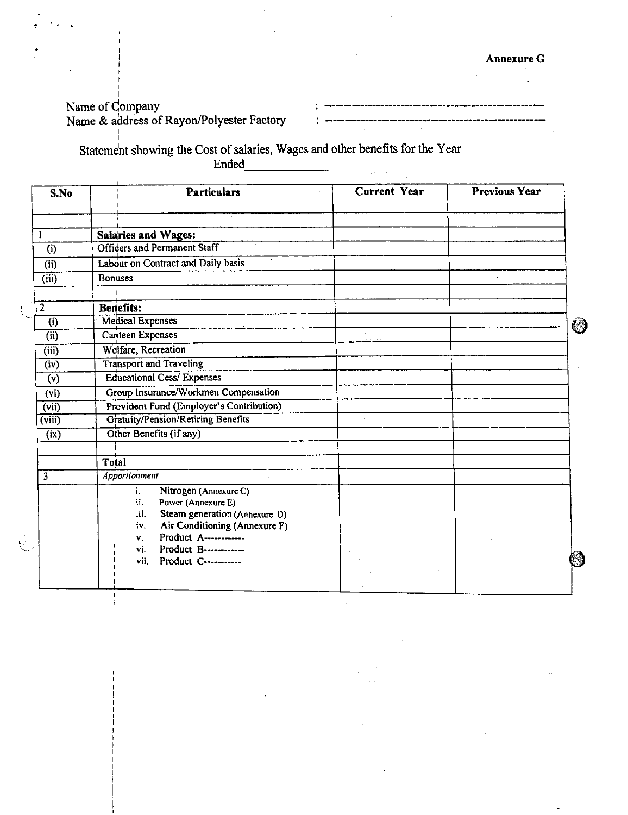# Name of Company Name & address of Rayon/Polyester Factory

• $\ddot{\phantom{a}}$ 

| S.No                      | <b>Particulars</b>                                                            | <b>Current Year</b> | <b>Previous Year</b> |
|---------------------------|-------------------------------------------------------------------------------|---------------------|----------------------|
|                           | <b>Salaries and Wages:</b>                                                    |                     |                      |
| (i)                       | <b>Officers and Permanent Staff</b>                                           |                     |                      |
| (i)                       | Labour on Contract and Daily basis                                            |                     |                      |
| $\overline{\text{(iii)}}$ | <b>Bonuses</b>                                                                |                     |                      |
| $\overline{2}$            | <b>Benefits:</b>                                                              |                     |                      |
| (i)                       | <b>Medical Expenses</b>                                                       |                     |                      |
| (i)                       | Canteen Expenses                                                              |                     |                      |
| $\overline{\text{(iii)}}$ | Welfare, Recreation                                                           |                     |                      |
| (iv)                      | <b>Transport and Traveling</b>                                                |                     |                      |
| (v)                       | <b>Educational Cess/ Expenses</b>                                             |                     |                      |
| (v <sub>i</sub> )         | Group Insurance/Workmen Compensation                                          |                     |                      |
| $\overline{(vii)}$        | Provident Fund (Employer's Contribution)                                      |                     |                      |
| $\overline{(viii)}$       | <b>Gratuity/Pension/Retiring Benefits</b>                                     |                     |                      |
| (ix)                      | Other Benefits (if any)                                                       |                     |                      |
|                           | Total                                                                         |                     |                      |
| $\overline{3}$            | Apportionment                                                                 |                     |                      |
|                           | Nitrogen (Annexure C)<br>i.<br>Power (Annexure E)<br>ii.                      |                     |                      |
|                           | Steam generation (Annexure D)<br>iii.<br>Air Conditioning (Annexure F)<br>iv. |                     |                      |
|                           | Product A-------------<br>ν.                                                  |                     |                      |
|                           | Product B-----------<br>vi.<br>vii.<br>Product C----------                    |                     |                      |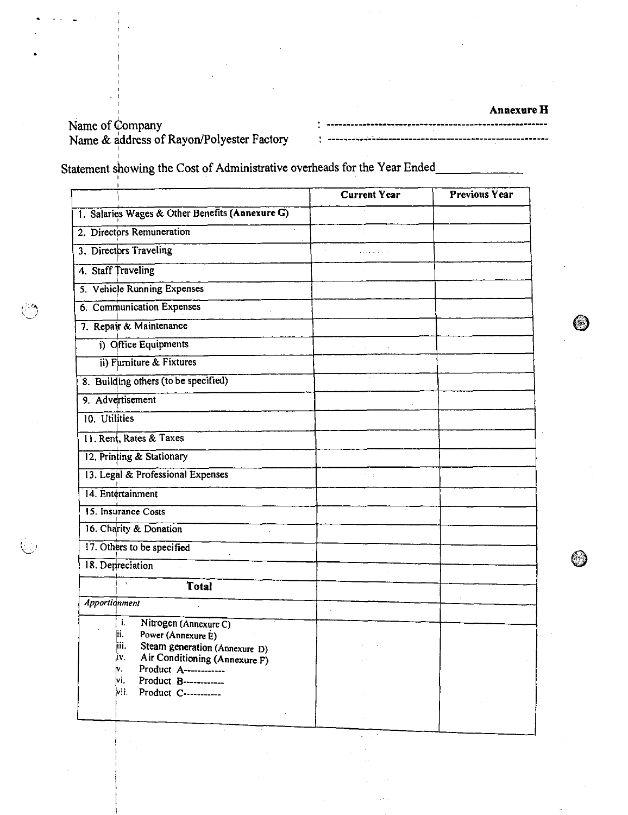**Annexure H** •.

ett.

Name of Company Name & address of Rayon/Polyester Factory

Statement showing the Cost of Administrative overheads for the Year Ended

|                                                                                                                                                                          | <b>Current Year</b> | <b>Previous Year</b> |
|--------------------------------------------------------------------------------------------------------------------------------------------------------------------------|---------------------|----------------------|
| 1. Salaries Wages & Other Benefits (Annexure G)                                                                                                                          |                     |                      |
| 2. Directors Remuneration                                                                                                                                                |                     |                      |
| 3. Directors Traveling                                                                                                                                                   |                     |                      |
| 4. Staff Traveling                                                                                                                                                       |                     |                      |
| 5. Vehicle Running Expenses                                                                                                                                              |                     |                      |
| 6. Communication Expenses                                                                                                                                                |                     |                      |
| 7. Repair & Maintenance                                                                                                                                                  |                     |                      |
| i) Office Equipments                                                                                                                                                     |                     |                      |
| ii) Furniture & Fixtures                                                                                                                                                 |                     |                      |
| 8. Building others (to be specified)                                                                                                                                     |                     |                      |
| 9. Advertisement                                                                                                                                                         |                     |                      |
| 10. Utilities                                                                                                                                                            |                     |                      |
| 11. Rent, Rates & Taxes                                                                                                                                                  |                     |                      |
| 12. Printing & Stationary                                                                                                                                                |                     |                      |
| 13. Legal & Professional Expenses                                                                                                                                        |                     |                      |
| 14. Entertainment                                                                                                                                                        |                     |                      |
| 15. Insurance Costs                                                                                                                                                      |                     |                      |
| 16. Charity & Donation                                                                                                                                                   |                     |                      |
| 17. Others to be specified                                                                                                                                               |                     |                      |
| 18. Depreciation                                                                                                                                                         |                     |                      |
| $\chi$<br><b>Total</b>                                                                                                                                                   |                     |                      |
| <b>Apportionment</b>                                                                                                                                                     |                     |                      |
| ì.<br>Nitrogen (Annexure C)<br>lii.<br>Power (Annexure E)<br>Steam generation (Annexure D)<br>ш.<br>į۷.<br>Air Conditioning (Annexure F)<br>lv.<br>Product A------------ |                     |                      |
| vi.<br>Product B------------<br>lvii.<br>Product C----------                                                                                                             |                     |                      |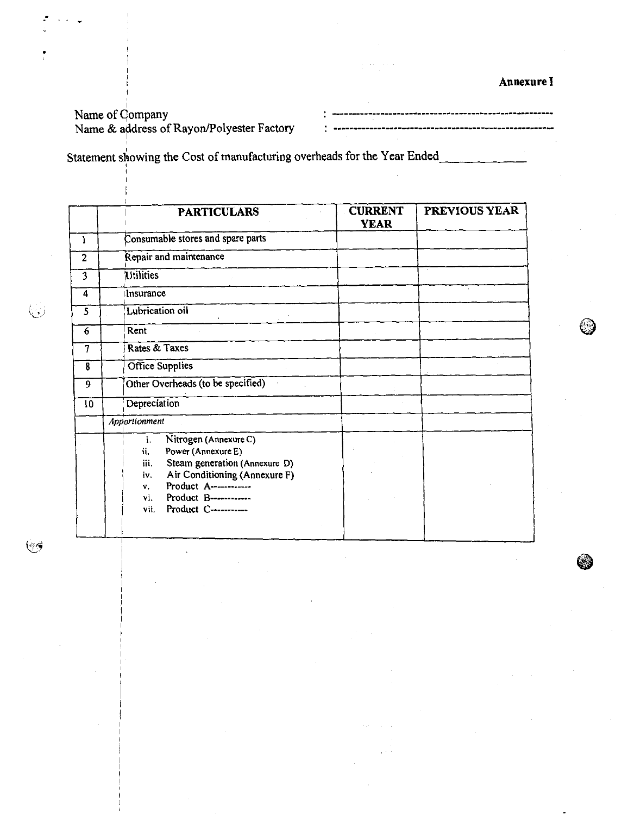Annexure I

# Name of Company Name *&* address of Rayon/Polyester Factory

,,,,,,,,,,,,,,,,,,,,,,,,,,,,,,,,,

Statement showing the Cost of manufacturing overheads for the Year Ended

|                         | <b>PARTICULARS</b>                                                                                                                                                                                                                                | <b>CURRENT</b><br><b>YEAR</b> | PREVIOUS YEAR |
|-------------------------|---------------------------------------------------------------------------------------------------------------------------------------------------------------------------------------------------------------------------------------------------|-------------------------------|---------------|
| 1                       | Consumable stores and spare parts                                                                                                                                                                                                                 |                               |               |
| $\overline{2}$          | Repair and maintenance                                                                                                                                                                                                                            |                               |               |
| 3                       | <b>Utilities</b>                                                                                                                                                                                                                                  |                               |               |
| $\overline{\mathbf{4}}$ | <b>Insurance</b>                                                                                                                                                                                                                                  |                               |               |
| 5                       | Lubrication oil                                                                                                                                                                                                                                   |                               |               |
| 6                       | Rent                                                                                                                                                                                                                                              |                               |               |
| 7                       | Rates & Taxes                                                                                                                                                                                                                                     |                               |               |
| 8                       | Office Supplies                                                                                                                                                                                                                                   |                               |               |
| $\overline{9}$          | Other Overheads (to be specified)                                                                                                                                                                                                                 |                               |               |
| 10                      | Depreciation                                                                                                                                                                                                                                      |                               |               |
|                         | Apportionment                                                                                                                                                                                                                                     |                               |               |
|                         | Nitrogen (Annexure C)<br>ì.<br>Power (Annexure E)<br>ii.<br>Steam generation (Annexure D)<br>iii.<br>Air Conditioning (Annexure F)<br>i۷.<br>Product A------------<br>$V_{\rm{H}}$<br>Product B------------<br>vi.<br>Product C----------<br>vii. |                               |               |

 $\begin{pmatrix} 1 & 1 \\ 1 & 1 \end{pmatrix}$ 

6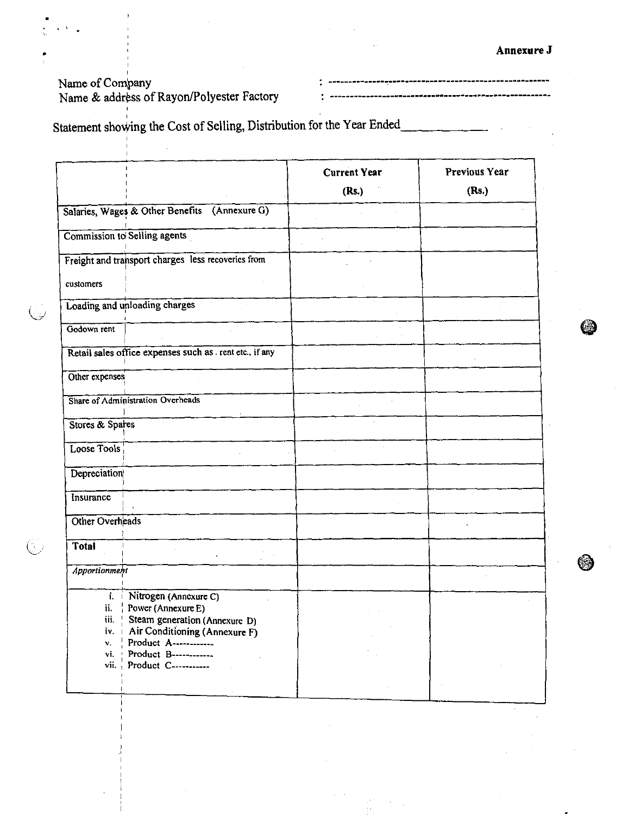s#Bo=#b@po@@=o#u#=###oop#==bp=#b! -nad Reigwydd yn yw 4ewd 2 2 pe

### Name of Company

G.

Name & address of Rayon/Polyester Factory

Statement shoving the Cost of Selling, Distribution for the Year Ended

|                                      |                                                                                                                                                                                                       | <b>Current Year</b><br>(Rs.) | <b>Previous Year</b><br>(Rs.) |
|--------------------------------------|-------------------------------------------------------------------------------------------------------------------------------------------------------------------------------------------------------|------------------------------|-------------------------------|
|                                      | Salaries, Wages & Other Benefits (Annexure G)                                                                                                                                                         |                              |                               |
|                                      | Commission to Selling agents                                                                                                                                                                          |                              |                               |
|                                      | Freight and transport charges less recoveries from                                                                                                                                                    |                              |                               |
| customers                            |                                                                                                                                                                                                       |                              |                               |
|                                      | Loading and unloading charges                                                                                                                                                                         |                              |                               |
| Godown rent                          |                                                                                                                                                                                                       |                              |                               |
|                                      | Retail sales office expenses such as . rent etc., if any                                                                                                                                              |                              |                               |
| Other expenses                       |                                                                                                                                                                                                       |                              |                               |
|                                      | Share of Administration Overheads                                                                                                                                                                     |                              |                               |
| Stores & Spares                      |                                                                                                                                                                                                       |                              |                               |
| Loose Tools                          |                                                                                                                                                                                                       |                              |                               |
| Depreciation                         |                                                                                                                                                                                                       |                              |                               |
| Insurance                            |                                                                                                                                                                                                       |                              |                               |
| Other Overheads                      |                                                                                                                                                                                                       |                              |                               |
| Total                                |                                                                                                                                                                                                       |                              |                               |
| Apportionment                        |                                                                                                                                                                                                       |                              |                               |
| iii.<br>iv.<br>v.<br>vi.<br>$vii.$ ; | i. Nitrogen (Annexure C)<br>ii. $\vert$ Power (Annexure E)<br>Steam generation (Annexure D)<br>Air Conditioning (Annexure F)<br>Product A------------<br>Product B-----------<br>Product C----------- |                              |                               |